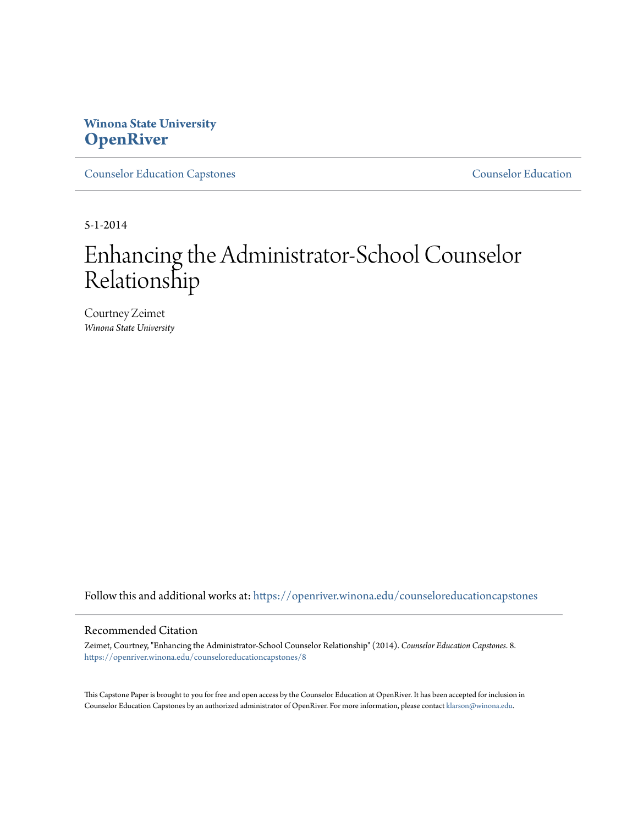# **Winona State University [OpenRiver](https://openriver.winona.edu?utm_source=openriver.winona.edu%2Fcounseloreducationcapstones%2F8&utm_medium=PDF&utm_campaign=PDFCoverPages)**

[Counselor Education Capstones](https://openriver.winona.edu/counseloreducationcapstones?utm_source=openriver.winona.edu%2Fcounseloreducationcapstones%2F8&utm_medium=PDF&utm_campaign=PDFCoverPages) [Counselor Education](https://openriver.winona.edu/counseloreducation?utm_source=openriver.winona.edu%2Fcounseloreducationcapstones%2F8&utm_medium=PDF&utm_campaign=PDFCoverPages)

5-1-2014

# Enhancing the Administrator-School Counselor Relationship

Courtney Zeimet *Winona State University*

Follow this and additional works at: [https://openriver.winona.edu/counseloreducationcapstones](https://openriver.winona.edu/counseloreducationcapstones?utm_source=openriver.winona.edu%2Fcounseloreducationcapstones%2F8&utm_medium=PDF&utm_campaign=PDFCoverPages)

### Recommended Citation

Zeimet, Courtney, "Enhancing the Administrator-School Counselor Relationship" (2014). *Counselor Education Capstones*. 8. [https://openriver.winona.edu/counseloreducationcapstones/8](https://openriver.winona.edu/counseloreducationcapstones/8?utm_source=openriver.winona.edu%2Fcounseloreducationcapstones%2F8&utm_medium=PDF&utm_campaign=PDFCoverPages)

This Capstone Paper is brought to you for free and open access by the Counselor Education at OpenRiver. It has been accepted for inclusion in Counselor Education Capstones by an authorized administrator of OpenRiver. For more information, please contact [klarson@winona.edu](mailto:klarson@winona.edu).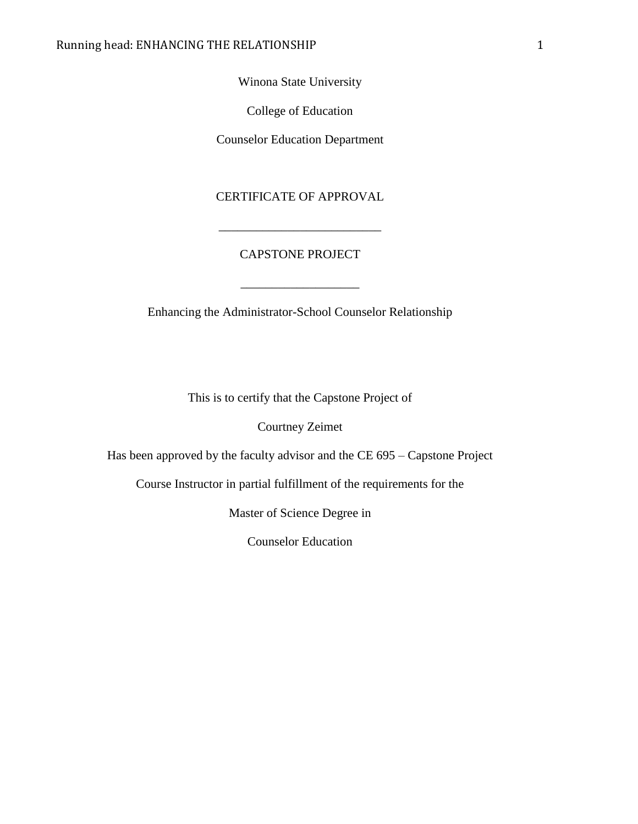Winona State University

College of Education

Counselor Education Department

CERTIFICATE OF APPROVAL

# CAPSTONE PROJECT

\_\_\_\_\_\_\_\_\_\_\_\_\_\_\_\_\_\_\_\_\_\_\_\_\_\_

Enhancing the Administrator-School Counselor Relationship

This is to certify that the Capstone Project of

Courtney Zeimet

Has been approved by the faculty advisor and the CE 695 – Capstone Project

Course Instructor in partial fulfillment of the requirements for the

Master of Science Degree in

Counselor Education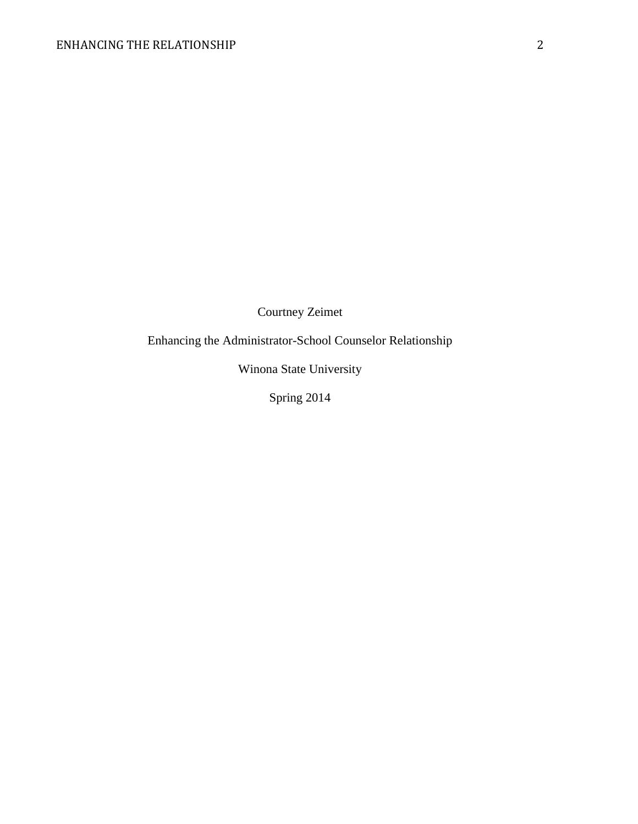Courtney Zeimet

Enhancing the Administrator-School Counselor Relationship

Winona State University

Spring 2014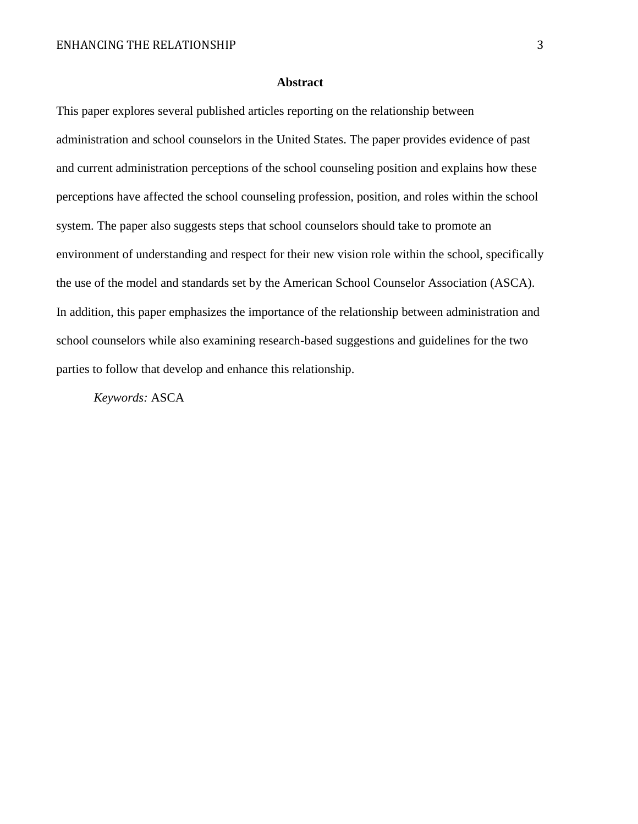## **Abstract**

This paper explores several published articles reporting on the relationship between administration and school counselors in the United States. The paper provides evidence of past and current administration perceptions of the school counseling position and explains how these perceptions have affected the school counseling profession, position, and roles within the school system. The paper also suggests steps that school counselors should take to promote an environment of understanding and respect for their new vision role within the school, specifically the use of the model and standards set by the American School Counselor Association (ASCA). In addition, this paper emphasizes the importance of the relationship between administration and school counselors while also examining research-based suggestions and guidelines for the two parties to follow that develop and enhance this relationship.

*Keywords:* ASCA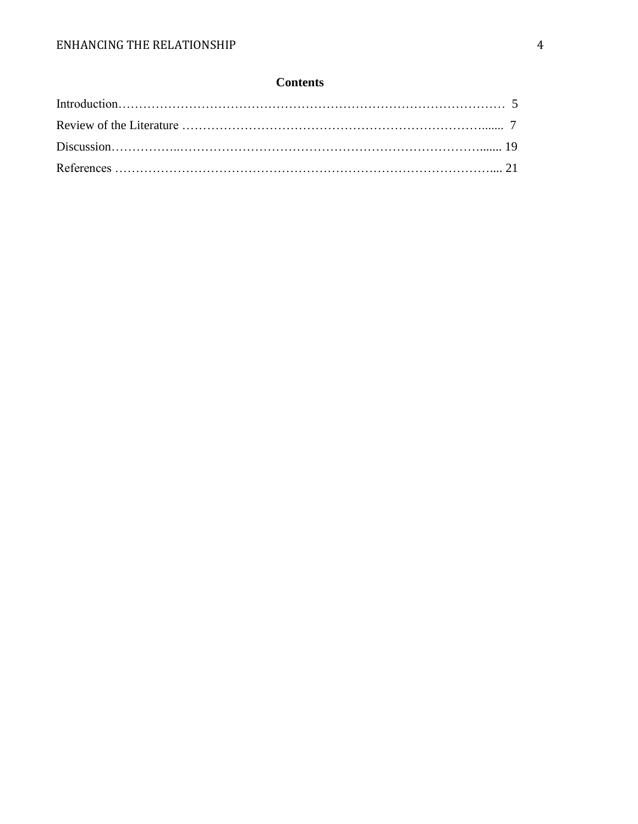# **Contents**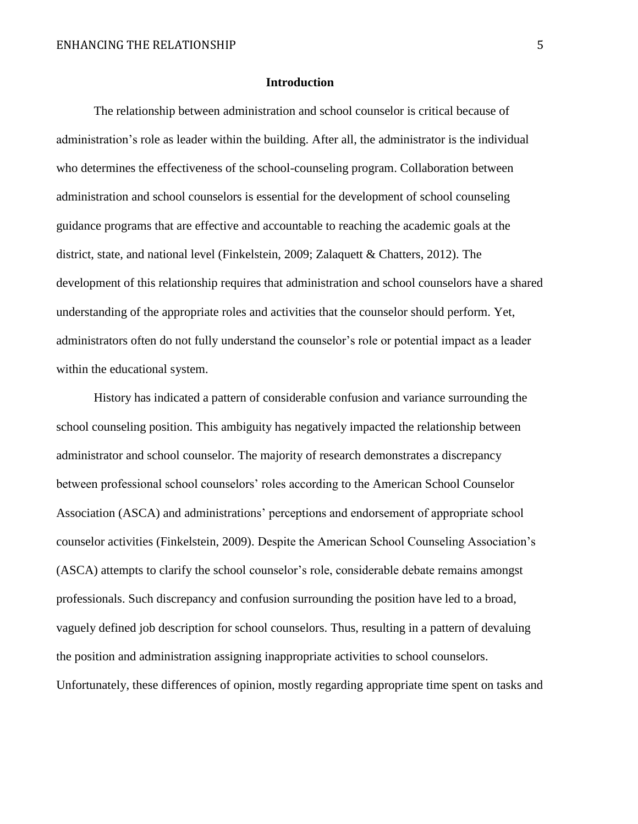#### **Introduction**

The relationship between administration and school counselor is critical because of administration's role as leader within the building. After all, the administrator is the individual who determines the effectiveness of the school-counseling program. Collaboration between administration and school counselors is essential for the development of school counseling guidance programs that are effective and accountable to reaching the academic goals at the district, state, and national level (Finkelstein, 2009; Zalaquett & Chatters, 2012). The development of this relationship requires that administration and school counselors have a shared understanding of the appropriate roles and activities that the counselor should perform. Yet, administrators often do not fully understand the counselor's role or potential impact as a leader within the educational system.

History has indicated a pattern of considerable confusion and variance surrounding the school counseling position. This ambiguity has negatively impacted the relationship between administrator and school counselor. The majority of research demonstrates a discrepancy between professional school counselors' roles according to the American School Counselor Association (ASCA) and administrations' perceptions and endorsement of appropriate school counselor activities (Finkelstein, 2009). Despite the American School Counseling Association's (ASCA) attempts to clarify the school counselor's role, considerable debate remains amongst professionals. Such discrepancy and confusion surrounding the position have led to a broad, vaguely defined job description for school counselors. Thus, resulting in a pattern of devaluing the position and administration assigning inappropriate activities to school counselors. Unfortunately, these differences of opinion, mostly regarding appropriate time spent on tasks and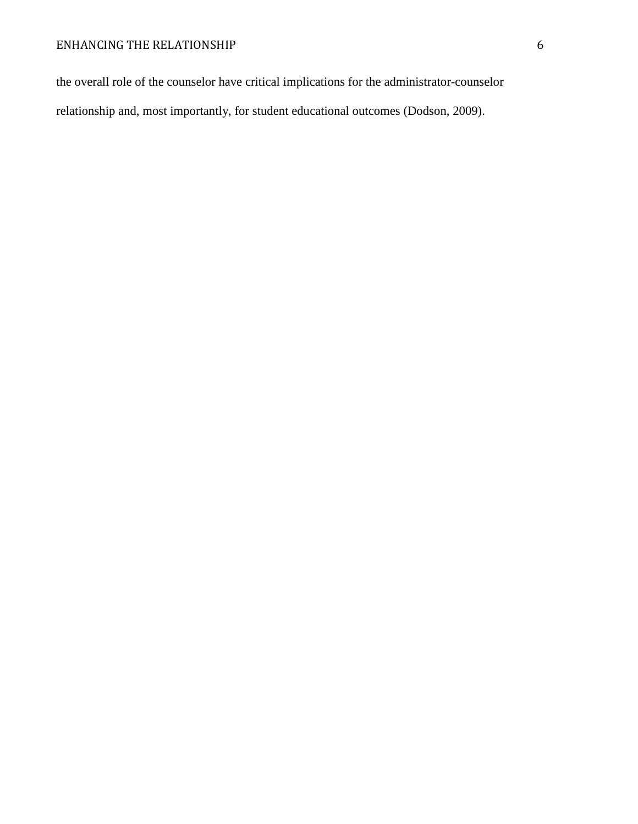the overall role of the counselor have critical implications for the administrator-counselor relationship and, most importantly, for student educational outcomes (Dodson, 2009).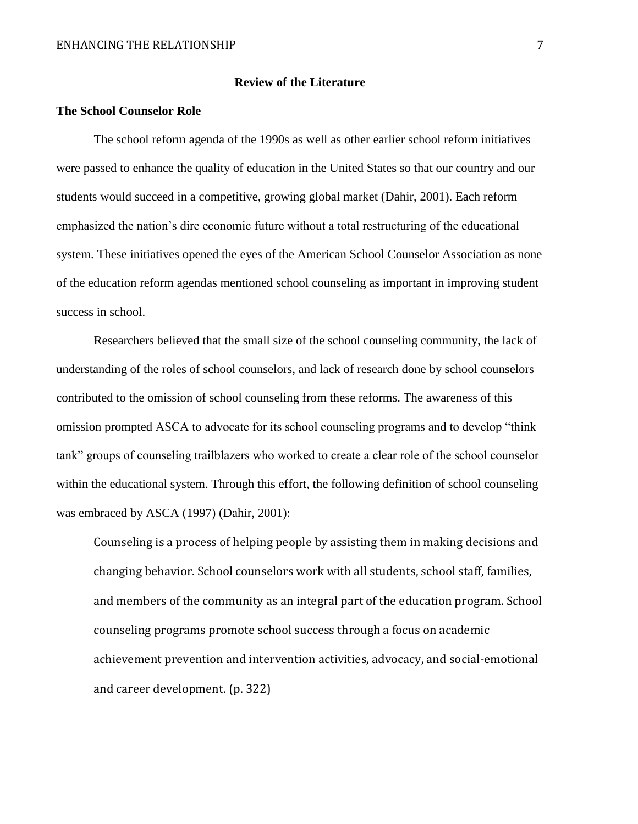# **Review of the Literature**

# **The School Counselor Role**

The school reform agenda of the 1990s as well as other earlier school reform initiatives were passed to enhance the quality of education in the United States so that our country and our students would succeed in a competitive, growing global market (Dahir, 2001). Each reform emphasized the nation's dire economic future without a total restructuring of the educational system. These initiatives opened the eyes of the American School Counselor Association as none of the education reform agendas mentioned school counseling as important in improving student success in school.

Researchers believed that the small size of the school counseling community, the lack of understanding of the roles of school counselors, and lack of research done by school counselors contributed to the omission of school counseling from these reforms. The awareness of this omission prompted ASCA to advocate for its school counseling programs and to develop "think tank" groups of counseling trailblazers who worked to create a clear role of the school counselor within the educational system. Through this effort, the following definition of school counseling was embraced by ASCA (1997) (Dahir, 2001):

Counseling is a process of helping people by assisting them in making decisions and changing behavior. School counselors work with all students, school staff, families, and members of the community as an integral part of the education program. School counseling programs promote school success through a focus on academic achievement prevention and intervention activities, advocacy, and social-emotional and career development. (p. 322)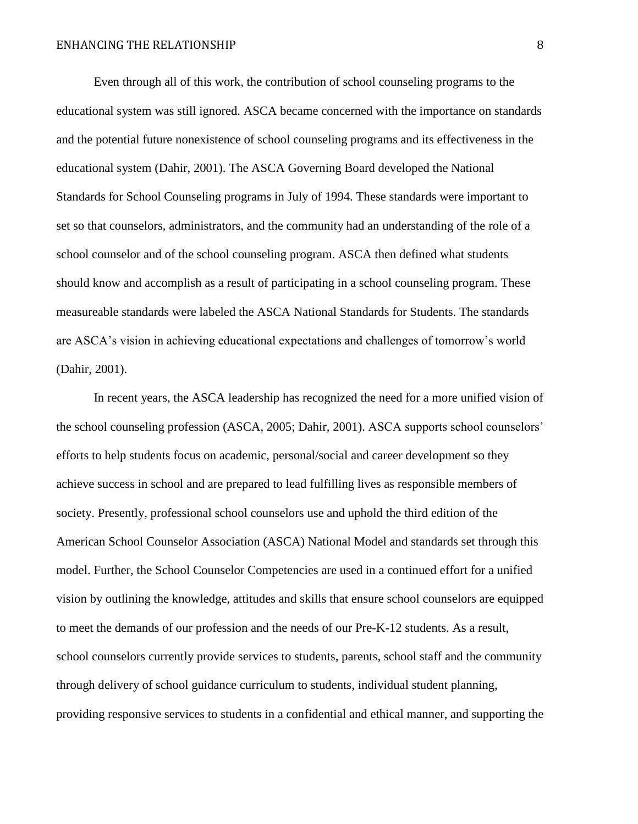Even through all of this work, the contribution of school counseling programs to the educational system was still ignored. ASCA became concerned with the importance on standards and the potential future nonexistence of school counseling programs and its effectiveness in the educational system (Dahir, 2001). The ASCA Governing Board developed the National Standards for School Counseling programs in July of 1994. These standards were important to set so that counselors, administrators, and the community had an understanding of the role of a school counselor and of the school counseling program. ASCA then defined what students should know and accomplish as a result of participating in a school counseling program. These measureable standards were labeled the ASCA National Standards for Students. The standards are ASCA's vision in achieving educational expectations and challenges of tomorrow's world (Dahir, 2001).

In recent years, the ASCA leadership has recognized the need for a more unified vision of the school counseling profession (ASCA, 2005; Dahir, 2001). ASCA supports school counselors' efforts to help students focus on academic, personal/social and career development so they achieve success in school and are prepared to lead fulfilling lives as responsible members of society. Presently, professional school counselors use and uphold the third edition of the American School Counselor Association (ASCA) National Model and standards set through this model. Further, the School Counselor Competencies are used in a continued effort for a unified vision by outlining the knowledge, attitudes and skills that ensure school counselors are equipped to meet the demands of our profession and the needs of our Pre-K-12 students. As a result, school counselors currently provide services to students, parents, school staff and the community through delivery of school guidance curriculum to students, individual student planning, providing responsive services to students in a confidential and ethical manner, and supporting the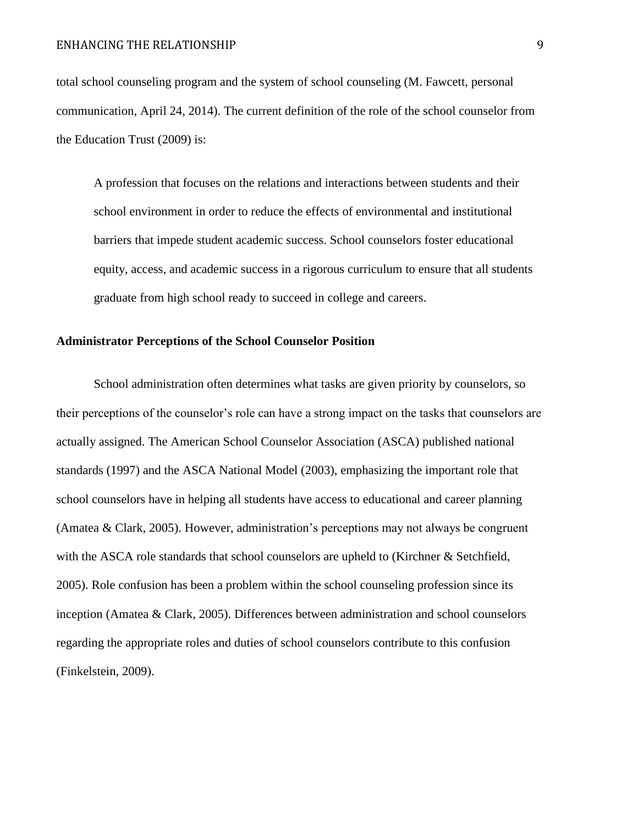total school counseling program and the system of school counseling (M. Fawcett, personal communication, April 24, 2014). The current definition of the role of the school counselor from the Education Trust (2009) is:

A profession that focuses on the relations and interactions between students and their school environment in order to reduce the effects of environmental and institutional barriers that impede student academic success. School counselors foster educational equity, access, and academic success in a rigorous curriculum to ensure that all students graduate from high school ready to succeed in college and careers.

### **Administrator Perceptions of the School Counselor Position**

School administration often determines what tasks are given priority by counselors, so their perceptions of the counselor's role can have a strong impact on the tasks that counselors are actually assigned. The American School Counselor Association (ASCA) published national standards (1997) and the ASCA National Model (2003), emphasizing the important role that school counselors have in helping all students have access to educational and career planning (Amatea & Clark, 2005). However, administration's perceptions may not always be congruent with the ASCA role standards that school counselors are upheld to (Kirchner & Setchfield, 2005). Role confusion has been a problem within the school counseling profession since its inception (Amatea & Clark, 2005). Differences between administration and school counselors regarding the appropriate roles and duties of school counselors contribute to this confusion (Finkelstein, 2009).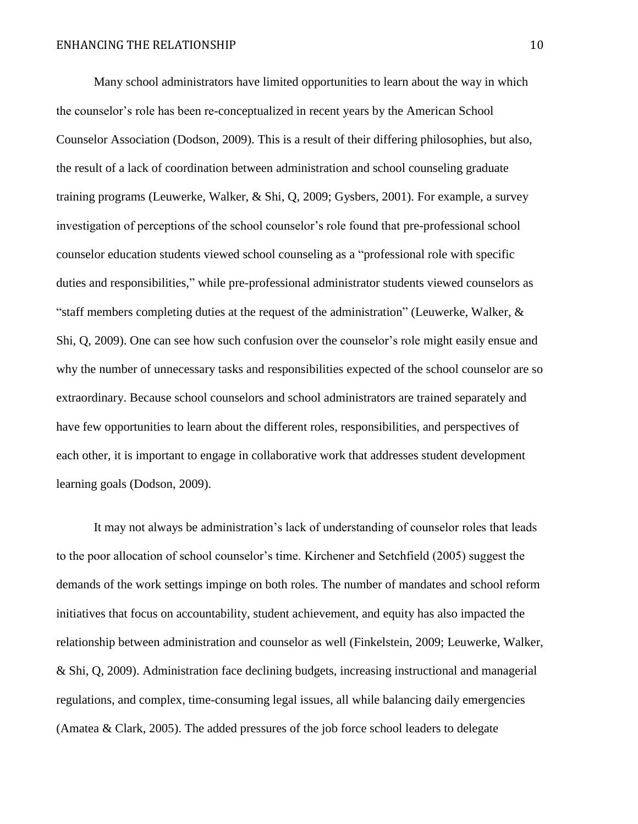Many school administrators have limited opportunities to learn about the way in which the counselor's role has been re-conceptualized in recent years by the American School Counselor Association (Dodson, 2009). This is a result of their differing philosophies, but also, the result of a lack of coordination between administration and school counseling graduate training programs (Leuwerke, Walker, & Shi, Q, 2009; Gysbers, 2001). For example, a survey investigation of perceptions of the school counselor's role found that pre-professional school counselor education students viewed school counseling as a "professional role with specific duties and responsibilities," while pre-professional administrator students viewed counselors as "staff members completing duties at the request of the administration" (Leuwerke, Walker,  $\&$ Shi, Q, 2009). One can see how such confusion over the counselor's role might easily ensue and why the number of unnecessary tasks and responsibilities expected of the school counselor are so extraordinary. Because school counselors and school administrators are trained separately and have few opportunities to learn about the different roles, responsibilities, and perspectives of each other, it is important to engage in collaborative work that addresses student development learning goals (Dodson, 2009).

It may not always be administration's lack of understanding of counselor roles that leads to the poor allocation of school counselor's time. Kirchener and Setchfield (2005) suggest the demands of the work settings impinge on both roles. The number of mandates and school reform initiatives that focus on accountability, student achievement, and equity has also impacted the relationship between administration and counselor as well (Finkelstein, 2009; Leuwerke, Walker, & Shi, Q, 2009). Administration face declining budgets, increasing instructional and managerial regulations, and complex, time-consuming legal issues, all while balancing daily emergencies (Amatea & Clark, 2005). The added pressures of the job force school leaders to delegate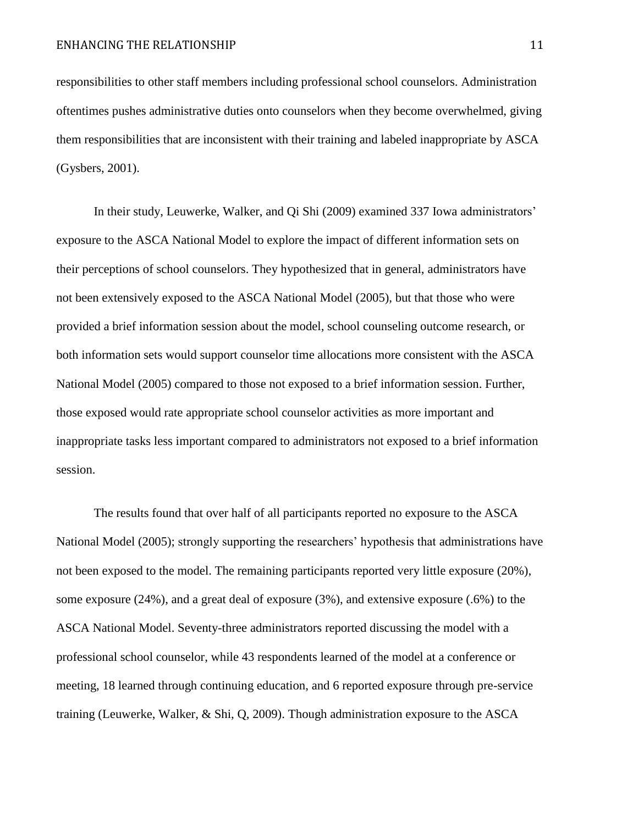responsibilities to other staff members including professional school counselors. Administration oftentimes pushes administrative duties onto counselors when they become overwhelmed, giving them responsibilities that are inconsistent with their training and labeled inappropriate by ASCA (Gysbers, 2001).

In their study, Leuwerke, Walker, and Qi Shi (2009) examined 337 Iowa administrators' exposure to the ASCA National Model to explore the impact of different information sets on their perceptions of school counselors. They hypothesized that in general, administrators have not been extensively exposed to the ASCA National Model (2005), but that those who were provided a brief information session about the model, school counseling outcome research, or both information sets would support counselor time allocations more consistent with the ASCA National Model (2005) compared to those not exposed to a brief information session. Further, those exposed would rate appropriate school counselor activities as more important and inappropriate tasks less important compared to administrators not exposed to a brief information session.

The results found that over half of all participants reported no exposure to the ASCA National Model (2005); strongly supporting the researchers' hypothesis that administrations have not been exposed to the model. The remaining participants reported very little exposure (20%), some exposure (24%), and a great deal of exposure (3%), and extensive exposure (.6%) to the ASCA National Model. Seventy-three administrators reported discussing the model with a professional school counselor, while 43 respondents learned of the model at a conference or meeting, 18 learned through continuing education, and 6 reported exposure through pre-service training (Leuwerke, Walker, & Shi, Q, 2009). Though administration exposure to the ASCA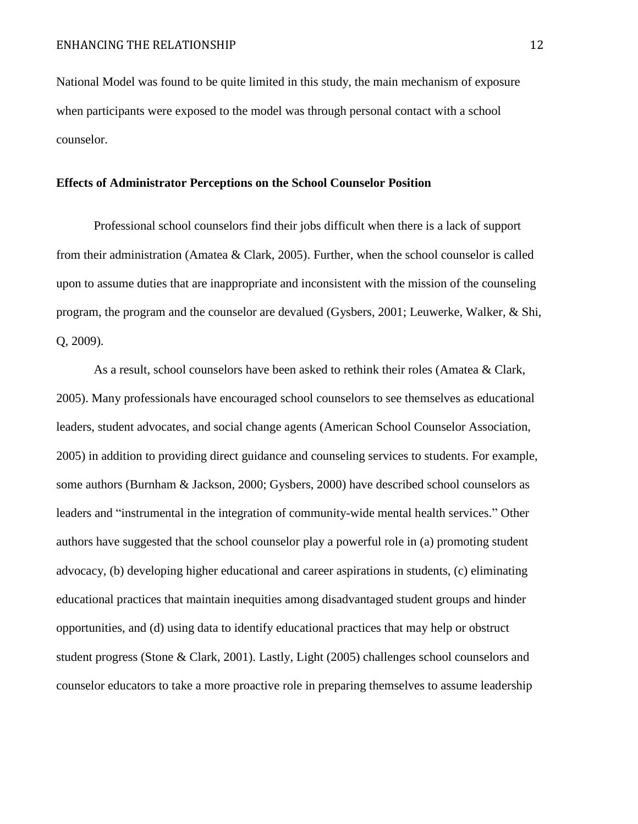National Model was found to be quite limited in this study, the main mechanism of exposure when participants were exposed to the model was through personal contact with a school counselor.

# **Effects of Administrator Perceptions on the School Counselor Position**

Professional school counselors find their jobs difficult when there is a lack of support from their administration (Amatea & Clark, 2005). Further, when the school counselor is called upon to assume duties that are inappropriate and inconsistent with the mission of the counseling program, the program and the counselor are devalued (Gysbers, 2001; Leuwerke, Walker, & Shi, Q, 2009).

As a result, school counselors have been asked to rethink their roles (Amatea & Clark, 2005). Many professionals have encouraged school counselors to see themselves as educational leaders, student advocates, and social change agents (American School Counselor Association, 2005) in addition to providing direct guidance and counseling services to students. For example, some authors (Burnham & Jackson, 2000; Gysbers, 2000) have described school counselors as leaders and "instrumental in the integration of community-wide mental health services." Other authors have suggested that the school counselor play a powerful role in (a) promoting student advocacy, (b) developing higher educational and career aspirations in students, (c) eliminating educational practices that maintain inequities among disadvantaged student groups and hinder opportunities, and (d) using data to identify educational practices that may help or obstruct student progress (Stone & Clark, 2001). Lastly, Light (2005) challenges school counselors and counselor educators to take a more proactive role in preparing themselves to assume leadership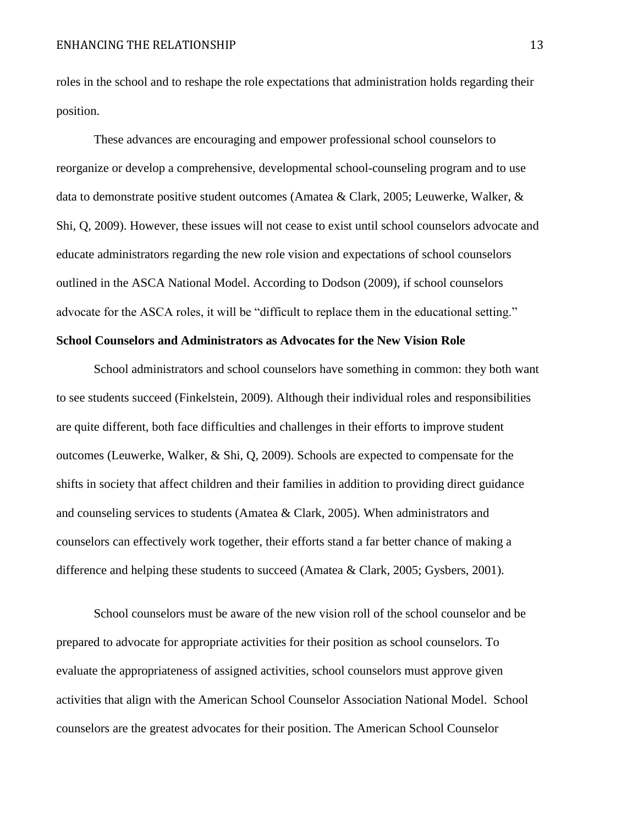roles in the school and to reshape the role expectations that administration holds regarding their position.

These advances are encouraging and empower professional school counselors to reorganize or develop a comprehensive, developmental school-counseling program and to use data to demonstrate positive student outcomes (Amatea & Clark, 2005; Leuwerke, Walker, & Shi, Q, 2009). However, these issues will not cease to exist until school counselors advocate and educate administrators regarding the new role vision and expectations of school counselors outlined in the ASCA National Model. According to Dodson (2009), if school counselors advocate for the ASCA roles, it will be "difficult to replace them in the educational setting."

# **School Counselors and Administrators as Advocates for the New Vision Role**

School administrators and school counselors have something in common: they both want to see students succeed (Finkelstein, 2009). Although their individual roles and responsibilities are quite different, both face difficulties and challenges in their efforts to improve student outcomes (Leuwerke, Walker, & Shi, Q, 2009). Schools are expected to compensate for the shifts in society that affect children and their families in addition to providing direct guidance and counseling services to students (Amatea & Clark, 2005). When administrators and counselors can effectively work together, their efforts stand a far better chance of making a difference and helping these students to succeed (Amatea & Clark, 2005; Gysbers, 2001).

School counselors must be aware of the new vision roll of the school counselor and be prepared to advocate for appropriate activities for their position as school counselors. To evaluate the appropriateness of assigned activities, school counselors must approve given activities that align with the American School Counselor Association National Model. School counselors are the greatest advocates for their position. The American School Counselor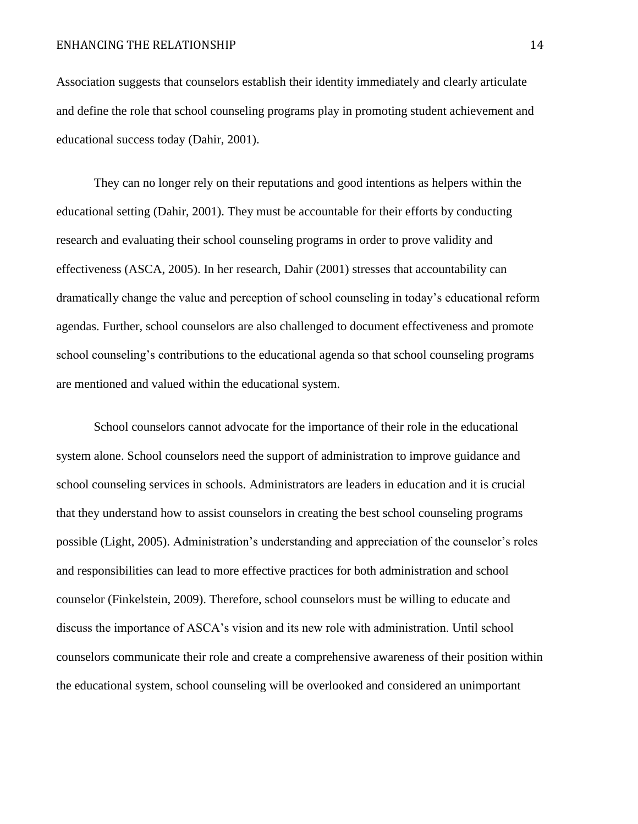Association suggests that counselors establish their identity immediately and clearly articulate and define the role that school counseling programs play in promoting student achievement and educational success today (Dahir, 2001).

They can no longer rely on their reputations and good intentions as helpers within the educational setting (Dahir, 2001). They must be accountable for their efforts by conducting research and evaluating their school counseling programs in order to prove validity and effectiveness (ASCA, 2005). In her research, Dahir (2001) stresses that accountability can dramatically change the value and perception of school counseling in today's educational reform agendas. Further, school counselors are also challenged to document effectiveness and promote school counseling's contributions to the educational agenda so that school counseling programs are mentioned and valued within the educational system.

School counselors cannot advocate for the importance of their role in the educational system alone. School counselors need the support of administration to improve guidance and school counseling services in schools. Administrators are leaders in education and it is crucial that they understand how to assist counselors in creating the best school counseling programs possible (Light, 2005). Administration's understanding and appreciation of the counselor's roles and responsibilities can lead to more effective practices for both administration and school counselor (Finkelstein, 2009). Therefore, school counselors must be willing to educate and discuss the importance of ASCA's vision and its new role with administration. Until school counselors communicate their role and create a comprehensive awareness of their position within the educational system, school counseling will be overlooked and considered an unimportant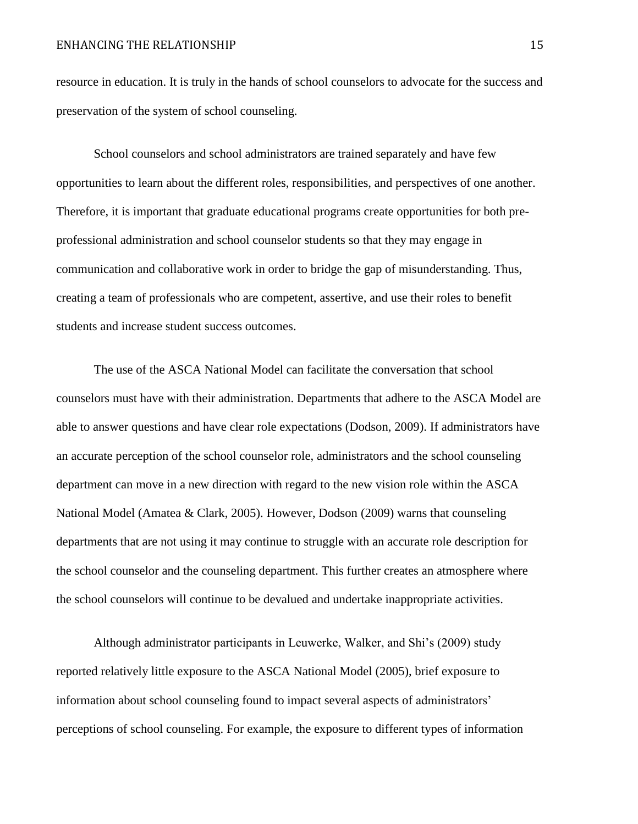resource in education. It is truly in the hands of school counselors to advocate for the success and preservation of the system of school counseling.

School counselors and school administrators are trained separately and have few opportunities to learn about the different roles, responsibilities, and perspectives of one another. Therefore, it is important that graduate educational programs create opportunities for both preprofessional administration and school counselor students so that they may engage in communication and collaborative work in order to bridge the gap of misunderstanding. Thus, creating a team of professionals who are competent, assertive, and use their roles to benefit students and increase student success outcomes.

The use of the ASCA National Model can facilitate the conversation that school counselors must have with their administration. Departments that adhere to the ASCA Model are able to answer questions and have clear role expectations (Dodson, 2009). If administrators have an accurate perception of the school counselor role, administrators and the school counseling department can move in a new direction with regard to the new vision role within the ASCA National Model (Amatea & Clark, 2005). However, Dodson (2009) warns that counseling departments that are not using it may continue to struggle with an accurate role description for the school counselor and the counseling department. This further creates an atmosphere where the school counselors will continue to be devalued and undertake inappropriate activities.

Although administrator participants in Leuwerke, Walker, and Shi's (2009) study reported relatively little exposure to the ASCA National Model (2005), brief exposure to information about school counseling found to impact several aspects of administrators' perceptions of school counseling. For example, the exposure to different types of information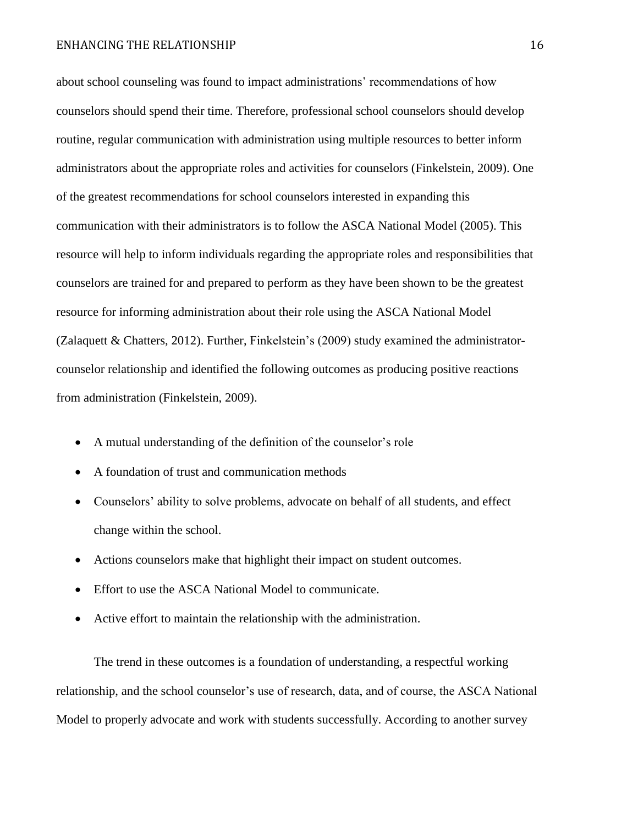#### ENHANCING THE RELATIONSHIP 16

about school counseling was found to impact administrations' recommendations of how counselors should spend their time. Therefore, professional school counselors should develop routine, regular communication with administration using multiple resources to better inform administrators about the appropriate roles and activities for counselors (Finkelstein, 2009). One of the greatest recommendations for school counselors interested in expanding this communication with their administrators is to follow the ASCA National Model (2005). This resource will help to inform individuals regarding the appropriate roles and responsibilities that counselors are trained for and prepared to perform as they have been shown to be the greatest resource for informing administration about their role using the ASCA National Model (Zalaquett & Chatters, 2012). Further, Finkelstein's (2009) study examined the administratorcounselor relationship and identified the following outcomes as producing positive reactions from administration (Finkelstein, 2009).

- A mutual understanding of the definition of the counselor's role
- A foundation of trust and communication methods
- Counselors' ability to solve problems, advocate on behalf of all students, and effect change within the school.
- Actions counselors make that highlight their impact on student outcomes.
- Effort to use the ASCA National Model to communicate.
- Active effort to maintain the relationship with the administration.

The trend in these outcomes is a foundation of understanding, a respectful working relationship, and the school counselor's use of research, data, and of course, the ASCA National Model to properly advocate and work with students successfully. According to another survey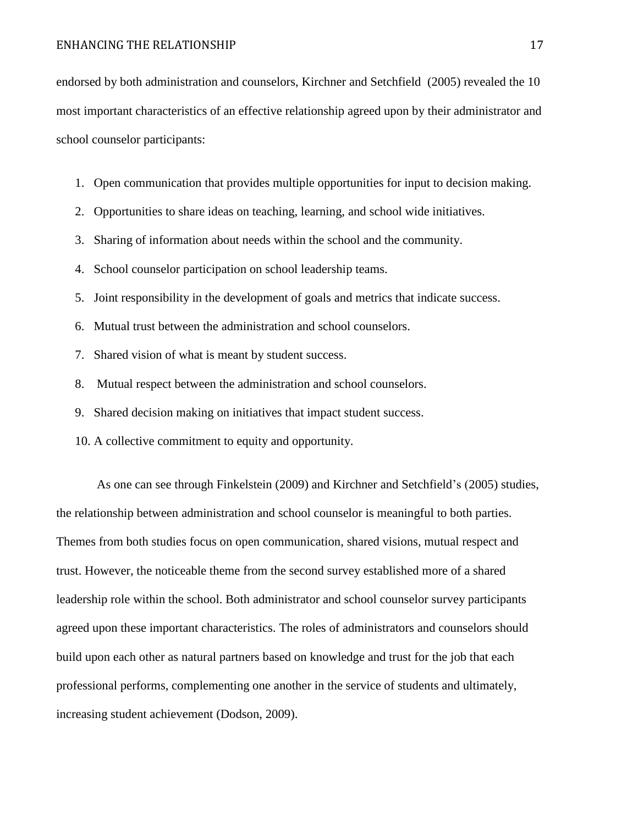endorsed by both administration and counselors, Kirchner and Setchfield (2005) revealed the 10 most important characteristics of an effective relationship agreed upon by their administrator and school counselor participants:

- 1. Open communication that provides multiple opportunities for input to decision making.
- 2. Opportunities to share ideas on teaching, learning, and school wide initiatives.
- 3. Sharing of information about needs within the school and the community.
- 4. School counselor participation on school leadership teams.
- 5. Joint responsibility in the development of goals and metrics that indicate success.
- 6. Mutual trust between the administration and school counselors.
- 7. Shared vision of what is meant by student success.
- 8. Mutual respect between the administration and school counselors.
- 9. Shared decision making on initiatives that impact student success.
- 10. A collective commitment to equity and opportunity.

As one can see through Finkelstein (2009) and Kirchner and Setchfield's (2005) studies, the relationship between administration and school counselor is meaningful to both parties. Themes from both studies focus on open communication, shared visions, mutual respect and trust. However, the noticeable theme from the second survey established more of a shared leadership role within the school. Both administrator and school counselor survey participants agreed upon these important characteristics. The roles of administrators and counselors should build upon each other as natural partners based on knowledge and trust for the job that each professional performs, complementing one another in the service of students and ultimately, increasing student achievement (Dodson, 2009).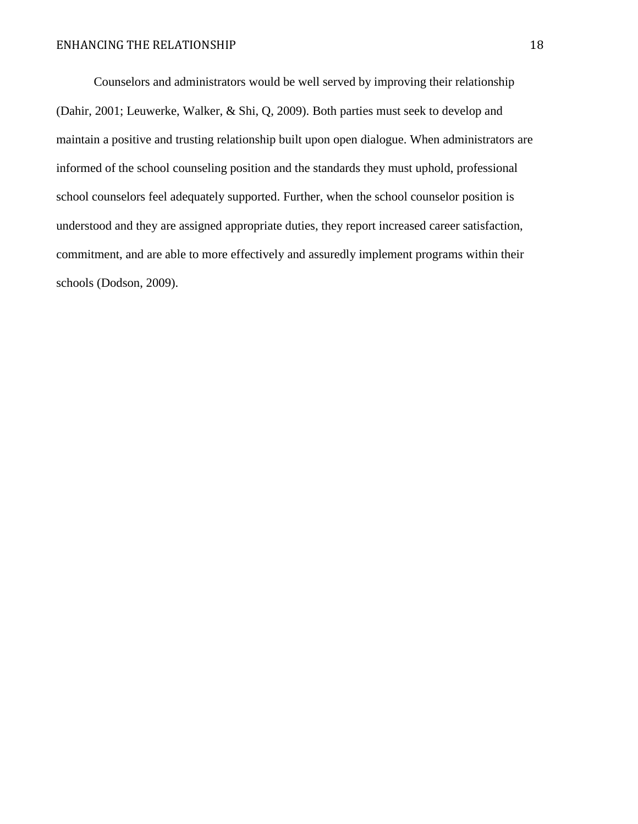Counselors and administrators would be well served by improving their relationship (Dahir, 2001; Leuwerke, Walker, & Shi, Q, 2009). Both parties must seek to develop and maintain a positive and trusting relationship built upon open dialogue. When administrators are informed of the school counseling position and the standards they must uphold, professional school counselors feel adequately supported. Further, when the school counselor position is understood and they are assigned appropriate duties, they report increased career satisfaction, commitment, and are able to more effectively and assuredly implement programs within their schools (Dodson, 2009).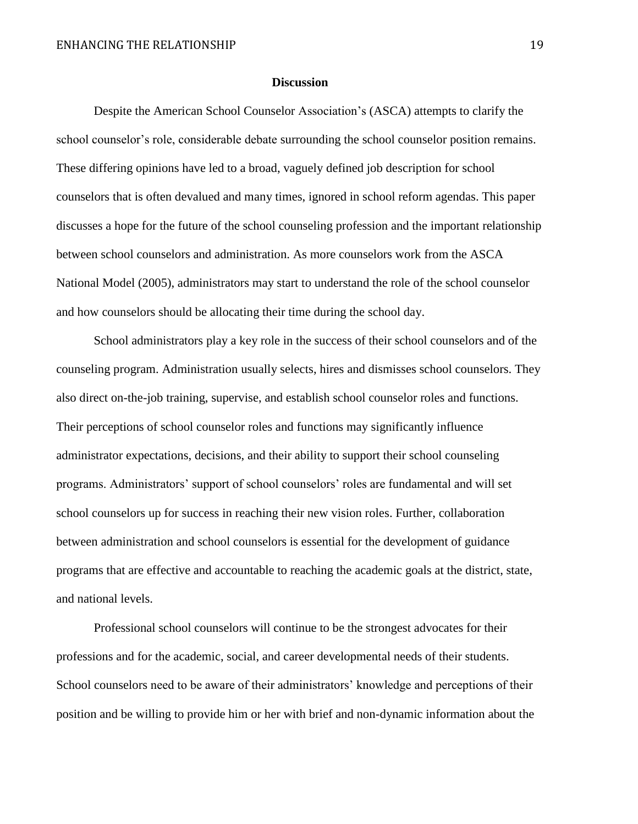#### **Discussion**

Despite the American School Counselor Association's (ASCA) attempts to clarify the school counselor's role, considerable debate surrounding the school counselor position remains. These differing opinions have led to a broad, vaguely defined job description for school counselors that is often devalued and many times, ignored in school reform agendas. This paper discusses a hope for the future of the school counseling profession and the important relationship between school counselors and administration. As more counselors work from the ASCA National Model (2005), administrators may start to understand the role of the school counselor and how counselors should be allocating their time during the school day.

School administrators play a key role in the success of their school counselors and of the counseling program. Administration usually selects, hires and dismisses school counselors. They also direct on-the-job training, supervise, and establish school counselor roles and functions. Their perceptions of school counselor roles and functions may significantly influence administrator expectations, decisions, and their ability to support their school counseling programs. Administrators' support of school counselors' roles are fundamental and will set school counselors up for success in reaching their new vision roles. Further, collaboration between administration and school counselors is essential for the development of guidance programs that are effective and accountable to reaching the academic goals at the district, state, and national levels.

Professional school counselors will continue to be the strongest advocates for their professions and for the academic, social, and career developmental needs of their students. School counselors need to be aware of their administrators' knowledge and perceptions of their position and be willing to provide him or her with brief and non-dynamic information about the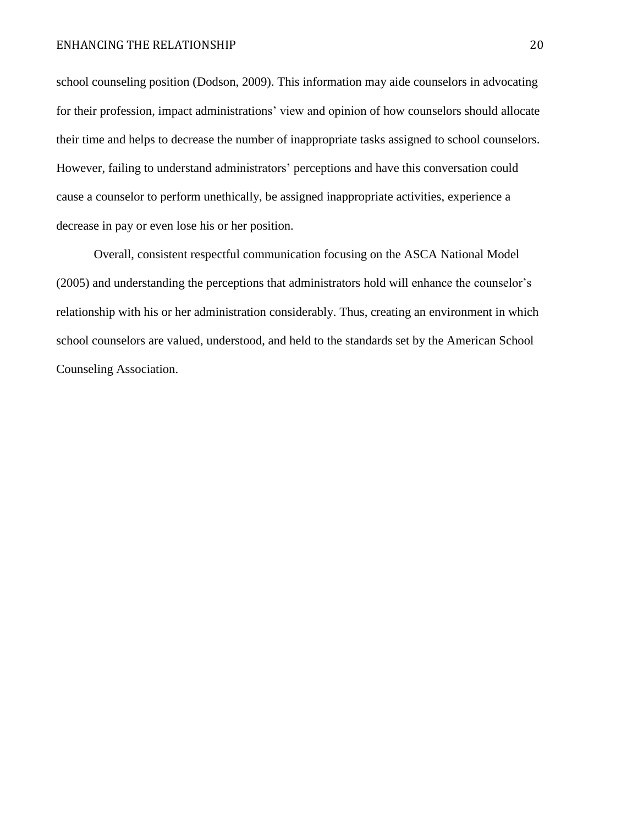school counseling position (Dodson, 2009). This information may aide counselors in advocating for their profession, impact administrations' view and opinion of how counselors should allocate their time and helps to decrease the number of inappropriate tasks assigned to school counselors. However, failing to understand administrators' perceptions and have this conversation could cause a counselor to perform unethically, be assigned inappropriate activities, experience a decrease in pay or even lose his or her position.

Overall, consistent respectful communication focusing on the ASCA National Model (2005) and understanding the perceptions that administrators hold will enhance the counselor's relationship with his or her administration considerably. Thus, creating an environment in which school counselors are valued, understood, and held to the standards set by the American School Counseling Association.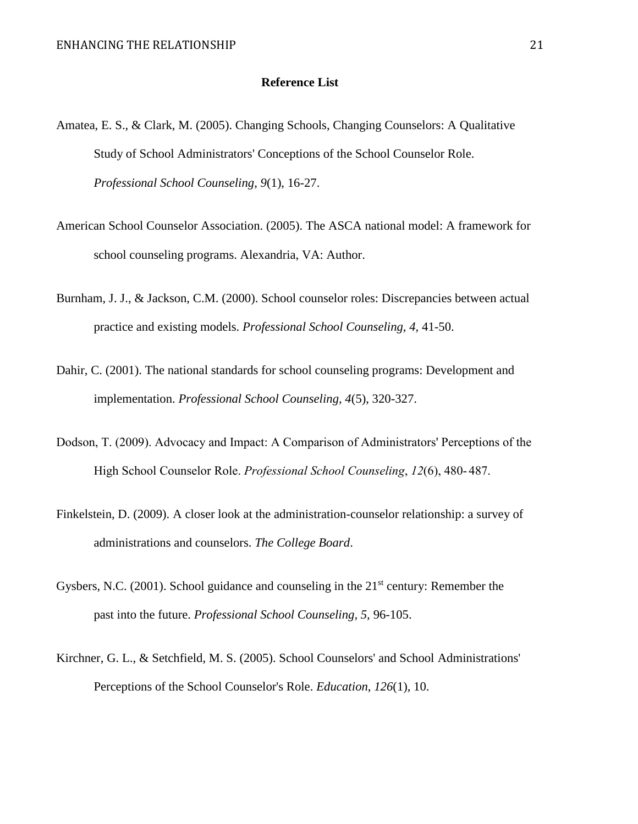### **Reference List**

- Amatea, E. S., & Clark, M. (2005). Changing Schools, Changing Counselors: A Qualitative Study of School Administrators' Conceptions of the School Counselor Role. *Professional School Counseling*, *9*(1), 16-27.
- American School Counselor Association. (2005). The ASCA national model: A framework for school counseling programs. Alexandria, VA: Author.
- Burnham, J. J., & Jackson, C.M. (2000). School counselor roles: Discrepancies between actual practice and existing models. *Professional School Counseling, 4,* 41-50.
- Dahir, C. (2001). The national standards for school counseling programs: Development and implementation. *Professional School Counseling, 4*(5), 320-327.
- Dodson, T. (2009). Advocacy and Impact: A Comparison of Administrators' Perceptions of the High School Counselor Role. *Professional School Counseling*, *12*(6), 480- 487.
- Finkelstein, D. (2009). A closer look at the administration-counselor relationship: a survey of administrations and counselors. *The College Board*.
- Gysbers, N.C. (2001). School guidance and counseling in the  $21<sup>st</sup>$  century: Remember the past into the future. *Professional School Counseling, 5,* 96-105.
- Kirchner, G. L., & Setchfield, M. S. (2005). School Counselors' and School Administrations' Perceptions of the School Counselor's Role. *Education*, *126*(1), 10.